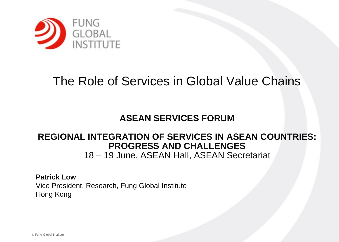

#### The Role of Services in Global Value Chains

#### **ASEAN SERVICES FORUM**

#### **REGIONAL INTEGRATION OF SERVICES IN ASEAN COUNTRIES: PROGRESS AND CHALLENGES** 18 – 19 June, ASEAN Hall, ASEAN Secretariat

**Patrick Low** Vice President, Research, Fung Global Institute Hong Kong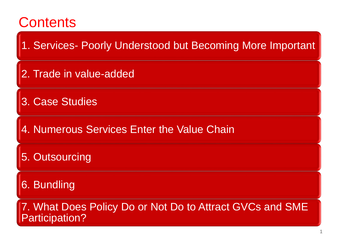## **1**Contents **100 million**

1. Services- Poorly Understood but Becoming More Important

2. Trade in value-added

3. Case Studies

4. Numerous Services Enter the Value Chain

5. Outsourcing

6. Bundling

7. What Does Policy Do or Not Do to Attract GVCs and SME Participation?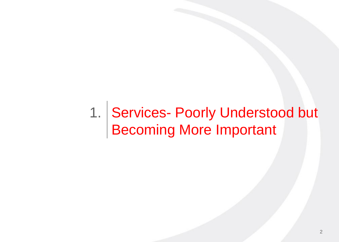### 1. Services- Poorly Understood but Becoming More Important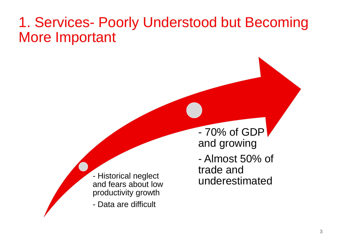#### **<sup>3</sup>**1. Services- Poorly Understood but Becoming More Important

- Historical neglect and fears about low productivity growth

- Data are difficult

- 70% of GDP and growing - Almost 50% of trade and underestimated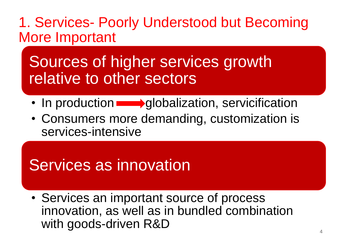#### **<sup>4</sup>**1. Services- Poorly Understood but Becoming More Important

### Sources of higher services growth relative to other sectors

- In production **quobalization**, servicification
- Consumers more demanding, customization is services-intensive

## Services as innovation

• Services an important source of process innovation, as well as in bundled combination with goods-driven R&D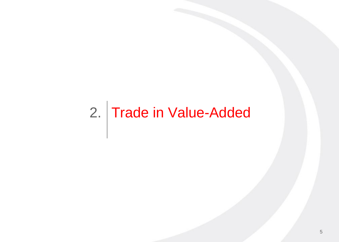## 2. Trade in Value-Added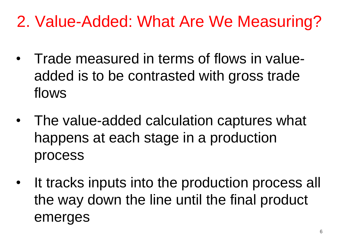## **<sup>6</sup>**2. Value-Added: What Are We Measuring?

- Trade measured in terms of flows in valueadded is to be contrasted with gross trade flows
- The value-added calculation captures what happens at each stage in a production process
- It tracks inputs into the production process all the way down the line until the final product emerges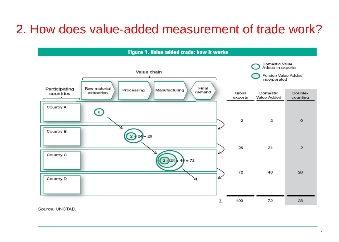#### 2. How does value-added measurement of trade work?



Source: UNCTAD.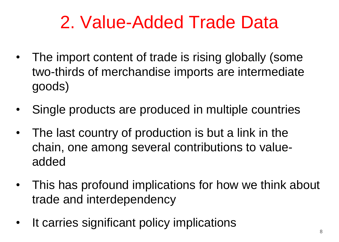## **<sup>8</sup>**2. Value-Added Trade Data

- The import content of trade is rising globally (some two-thirds of merchandise imports are intermediate goods)
- Single products are produced in multiple countries
- The last country of production is but a link in the chain, one among several contributions to valueadded
- This has profound implications for how we think about trade and interdependency
- It carries significant policy implications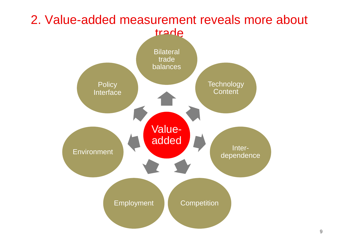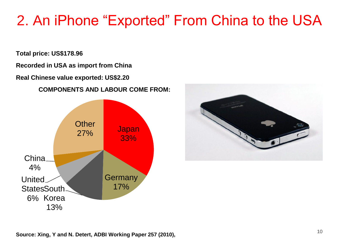### **<sup>10</sup>** 2. An iPhone "Exported" From China to the USA

**Total price: US\$178.96**

**Recorded in USA as import from China**

**Real Chinese value exported: US\$2.20** 

#### **COMPONENTS AND LABOUR COME FROM:**





**Source: Xing, Y and N. Detert, ADBI Working Paper 257 (2010),**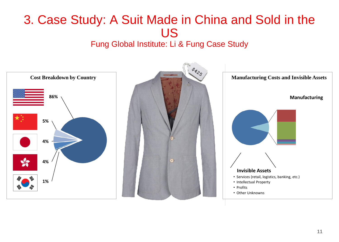### **<sup>11</sup>** 3. Case Study: A Suit Made in China and Sold in the US

#### Fung Global Institute: Li & Fung Case Study

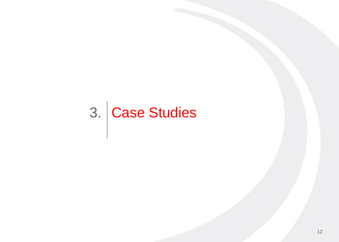# 3. Case Studies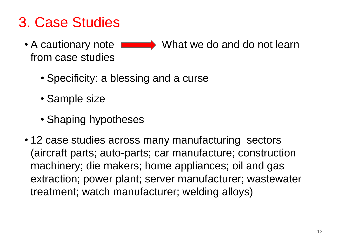### **<sup>13</sup>**3. Case Studies

- A cautionary note **Numerally** What we do and do not learn from case studies
	- Specificity: a blessing and a curse
	- Sample size
	- Shaping hypotheses
- 12 case studies across many manufacturing sectors (aircraft parts; auto-parts; car manufacture; construction machinery; die makers; home appliances; oil and gas extraction; power plant; server manufacturer; wastewater treatment; watch manufacturer; welding alloys)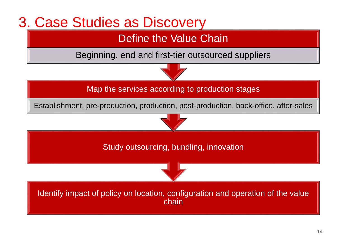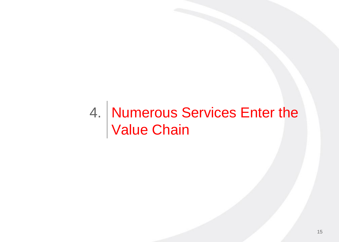#### Numerous Services Enter the Value Chain 4.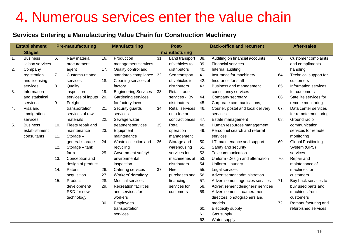### 4. Numerous services enter the value chain

#### **Services Entering a Manufacturing Value Chain for Construction Machinery**

| <b>Establishment</b> |                                     | <b>Pre-manufacturing</b> |                          | <b>Manufacturing</b> |                                            | Post- |                                  |            | <b>Back-office and recurrent</b>                            |     | <b>After-sales</b>                            |  |
|----------------------|-------------------------------------|--------------------------|--------------------------|----------------------|--------------------------------------------|-------|----------------------------------|------------|-------------------------------------------------------------|-----|-----------------------------------------------|--|
|                      | manufacturing<br><b>Stages</b>      |                          |                          |                      |                                            |       |                                  |            |                                                             |     |                                               |  |
| 1.                   | <b>Business</b><br>liaison services | 6.                       | Raw material             | 16.                  | Production                                 | 31.   | Land transport<br>of vehicles to | 38.<br>39. | Auditing on financial accounts<br><b>Financial services</b> | 63. | <b>Customer complaints</b><br>and compliments |  |
| 2.                   |                                     |                          | procurement              | 17.                  | management services<br>Quality control and |       | distributors                     | 40.        | Internal auditing                                           |     |                                               |  |
|                      | Company                             |                          | agent<br>Customs-related |                      |                                            |       |                                  |            |                                                             |     | handling                                      |  |
|                      | registration                        | 7.                       |                          |                      | standards compliance 32.                   |       | Sea transport                    | 41.        | Insurance for machinery                                     | 64. | Technical support for                         |  |
|                      | and licensing                       |                          | services                 | 18.                  | Cleaning services of                       |       | of vehicles to                   | 42.        | Insurance for staff                                         |     | customers                                     |  |
|                      | services                            | 8.                       | Quality                  |                      | factory                                    |       | distributors                     | 43.        | Business and management                                     | 65. | Information services                          |  |
| 3.                   | Information                         |                          | inspection               | 19.                  | <b>Engineering Services</b>                | 33.   | Retail trade                     |            | consultancy services                                        |     | for customers                                 |  |
|                      | and statistical                     |                          | services of inputs       | 20.                  | Gardening services                         |       | services - By                    | 44.        | Company secretary                                           | 66. | Satellite services for                        |  |
|                      | services                            | 9.                       | Freight                  |                      | for factory lawn                           |       | distributors                     | 45.        | Corporate communications,                                   |     | remote monitoring                             |  |
| 4.                   | Visa and                            |                          | transportation           | 21.                  | Security guards                            | 34.   | <b>Retail services</b>           | 46.        | Courier, postal and local delivery                          | 67. | Data center services                          |  |
|                      | immigration                         |                          | services of raw          |                      | services                                   |       | on a fee or                      |            | services                                                    |     | for remote monitoring                         |  |
|                      | services                            |                          | materials                | 22.                  | Sewage water                               |       | contract bases                   | 47.        | Estate management                                           | 68. | Ground radio                                  |  |
| 5.                   | <b>Business</b>                     | 10.                      | Fleets repair and        |                      | treatment services                         | 35.   | Retail                           | 48.        | Human resources management                                  |     | communication                                 |  |
|                      | establishment                       |                          | maintenance              | 23.                  | Equipment                                  |       | operation                        | 49.        | Personnel search and referral                               |     | services for remote                           |  |
|                      | consultants                         | 11.                      | Storage-                 |                      | maintenance                                |       | management                       |            | services                                                    |     | monitoring                                    |  |
|                      |                                     |                          | general storage          | 24.                  | Waste collection and                       | 36.   | Storage and                      | 50.        | I.T maintenance and support                                 | 69. | <b>Global Positioning</b>                     |  |
|                      |                                     | 12.                      | Storage - tank           |                      | recycling                                  |       | warehousing                      | 51.        | Safety and security                                         |     | System (GPS)                                  |  |
|                      |                                     |                          | farm                     | 25.                  | Government safety/                         |       | services for                     | 52.        | Telecommunication                                           |     | services                                      |  |
|                      |                                     | 13.                      | Conception and           |                      | environmental                              |       | machineries at                   | 53.        | Uniform - Design and alternation                            | 70. | Repair and                                    |  |
|                      |                                     |                          | design of product        |                      | inspection                                 |       | distributors                     | 54.        | Uniform -Laundry                                            |     | maintenance of                                |  |
|                      |                                     | 14.                      | Patent                   | 26.                  | Catering services                          | 37.   | Hire                             | 55.        | Legal services                                              |     | machines for                                  |  |
|                      |                                     |                          | acquisition              | 27.                  | Workers' dormitory                         |       | purchases and                    | 56.        | Advertisement administration                                |     | customers                                     |  |
|                      |                                     | 15.                      | Product                  | 28.                  | <b>Medical services</b>                    |       | financing                        | 57.        | Advertisement agencies services                             | 71. | Buy back services to                          |  |
|                      |                                     |                          | development/             | 29.                  | <b>Recreation facilities</b>               |       | services for                     | 58.        | Advertisement designers' services                           |     | buy used parts and                            |  |
|                      |                                     |                          | R&D for new              |                      | and services for                           |       | customers                        | 59.        | Advertisement - cameramen,                                  |     | machines from                                 |  |
|                      |                                     |                          | technology               |                      | workers                                    |       |                                  |            | directors, photographers and                                |     | customers                                     |  |
|                      |                                     |                          |                          | 30.                  | <b>Employees</b>                           |       |                                  |            | models.                                                     | 72. | Remanufacturing and                           |  |
|                      |                                     |                          |                          |                      | transportation                             |       |                                  | 60.        | Electricity supply                                          |     | refurbished services                          |  |
|                      |                                     |                          |                          |                      | services                                   |       |                                  | 61.        | Gas supply                                                  |     |                                               |  |
|                      |                                     |                          |                          |                      |                                            |       |                                  | 62.        | Water supply                                                |     |                                               |  |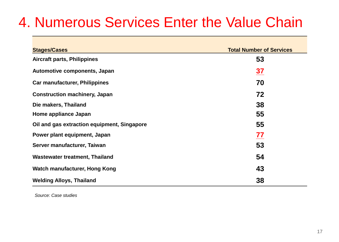### **<sup>17</sup>**4. Numerous Services Enter the Value Chain

| <b>Stages/Cases</b>                         | <b>Total Number of Services</b> |
|---------------------------------------------|---------------------------------|
| <b>Aircraft parts, Philippines</b>          | 53                              |
| Automotive components, Japan                | $\frac{37}{1}$                  |
| <b>Car manufacturer, Philippines</b>        | 70                              |
| <b>Construction machinery, Japan</b>        | 72                              |
| Die makers, Thailand                        | 38                              |
| Home appliance Japan                        | 55                              |
| Oil and gas extraction equipment, Singapore | 55                              |
| Power plant equipment, Japan                | 77                              |
| Server manufacturer, Taiwan                 | 53                              |
| <b>Wastewater treatment, Thailand</b>       | 54                              |
| <b>Watch manufacturer, Hong Kong</b>        | 43                              |
| <b>Welding Alloys, Thailand</b>             | 38                              |

*Source: Case studies*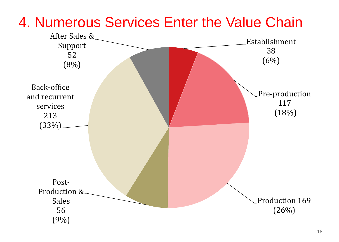

#### 4. Numerous Services Enter the Value Chain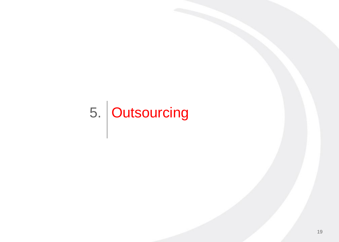# 5. Outsourcing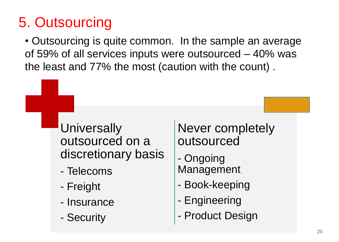### **<sup>20</sup>**5. Outsourcing

• Outsourcing is quite common. In the sample an average of 59% of all services inputs were outsourced – 40% was the least and 77% the most (caution with the count) .

> **Universally** outsourced on a discretionary basis

- Telecoms
- Freight
- Insurance
- Security

Never completely outsourced

- Ongoing Management
- Book-keeping
- Engineering
- Product Design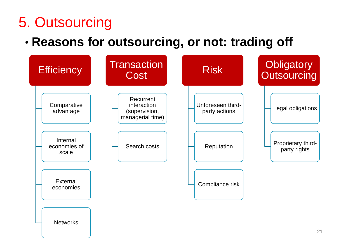### **<sup>21</sup>**5. Outsourcing

#### • **Reasons for outsourcing, or not: trading off**

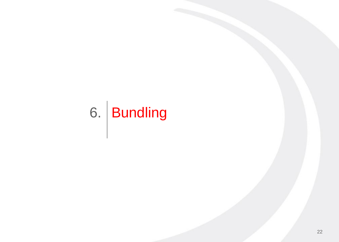# 6. Bundling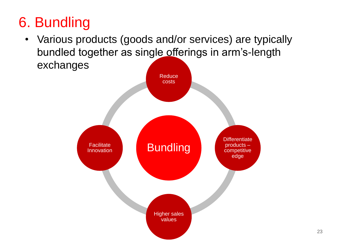## **<sup>23</sup>**6. Bundling

• Various products (goods and/or services) are typically bundled together as single offerings in arm's-length exchanges

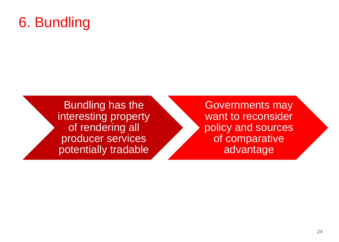### **<sup>24</sup>**6. Bundling

Bundling has the interesting property of rendering all producer services potentially tradable

Governments may want to reconsider policy and sources of comparative advantage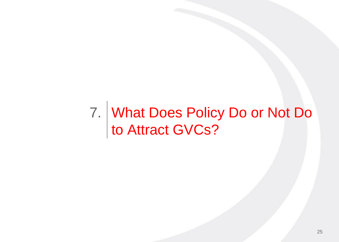#### What Does Policy Do or Not Do to Attract GVCs? 7.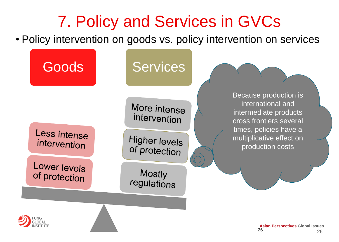## **<sup>26</sup>** 7. Policy and Services in GVCs

• Policy intervention on goods vs. policy intervention on services

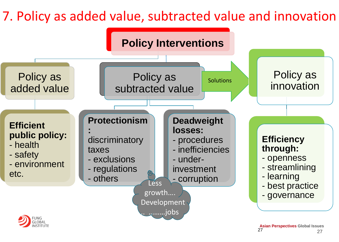#### **27 <sup>27</sup>** 7. Policy as added value, subtracted value and innovation



27 27 **Asian Perspectives Global Issues**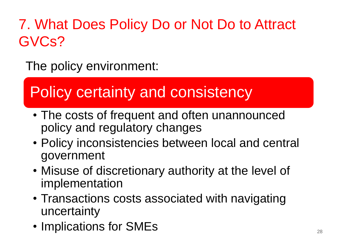### 7. What Does Policy Do or Not Do to Attract GVCs?

The policy environment:

## Policy certainty and consistency

- The costs of frequent and often unannounced policy and regulatory changes
- Policy inconsistencies between local and central government
- Misuse of discretionary authority at the level of implementation
- Transactions costs associated with navigating uncertainty
- Implications for SMEs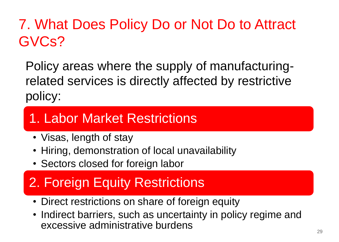### 7. What Does Policy Do or Not Do to Attract GVCs?

Policy areas where the supply of manufacturingrelated services is directly affected by restrictive policy:

### 1. Labor Market Restrictions

- Visas, length of stay
- Hiring, demonstration of local unavailability
- Sectors closed for foreign labor

### 2. Foreign Equity Restrictions

- Direct restrictions on share of foreign equity
- Indirect barriers, such as uncertainty in policy regime and excessive administrative burdens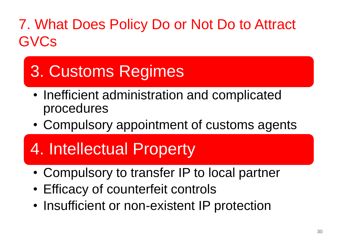### 7. What Does Policy Do or Not Do to Attract **GVCs**

## 3. Customs Regimes

- Inefficient administration and complicated procedures
- Compulsory appointment of customs agents

## 4. Intellectual Property

- Compulsory to transfer IP to local partner
- Efficacy of counterfeit controls
- Insufficient or non-existent IP protection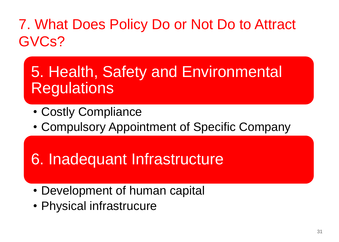### 7. What Does Policy Do or Not Do to Attract GVCs?

### 5. Health, Safety and Environmental **Regulations**

- Costly Compliance
- Compulsory Appointment of Specific Company

### 6. Inadequant Infrastructure

- Development of human capital
- Physical infrastrucure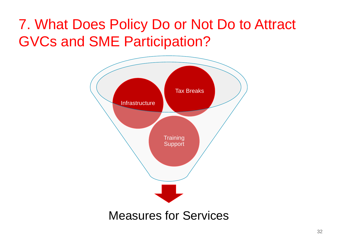### 7. What Does Policy Do or Not Do to Attract GVCs and SME Participation?

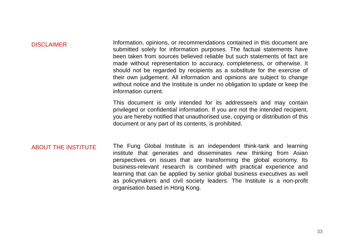#### DISCLAIMER

Information, opinions, or recommendations contained in this document are submitted solely for information purposes. The factual statements have been taken from sources believed reliable but such statements of fact are made without representation to accuracy, completeness, or otherwise. It should not be regarded by recipients as a substitute for the exercise of their own judgement. All information and opinions are subject to change without notice and the Institute is under no obligation to update or keep the information current.

This document is only intended for its addressee/s and may contain privileged or confidential information. If you are not the intended recipient, you are hereby notified that unauthorised use, copying or distribution of this document or any part of its contents, is prohibited.

#### ABOUT THE INSTITUTE The Fung Global Institute is an independent think-tank and learning institute that generates and disseminates new thinking from Asian perspectives on issues that are transforming the global economy. Its business-relevant research is combined with practical experience and learning that can be applied by senior global business executives as well as policymakers and civil society leaders. The Institute is a non-profit organisation based in Hong Kong.